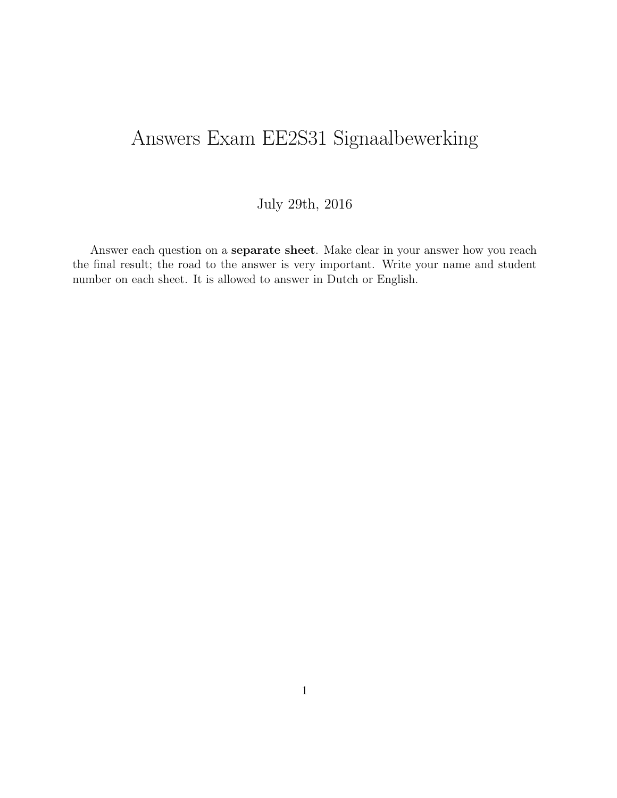# Answers Exam EE2S31 Signaalbewerking

#### July 29th, 2016

Answer each question on a separate sheet. Make clear in your answer how you reach the final result; the road to the answer is very important. Write your name and student number on each sheet. It is allowed to answer in Dutch or English.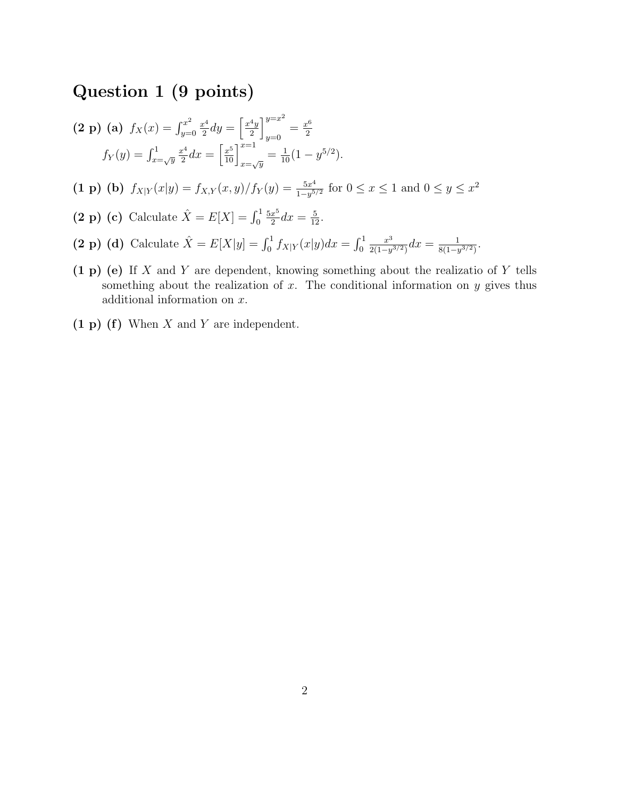## Question 1 (9 points)

$$
\begin{aligned} \textbf{(2 p)} \text{ (a)} \ f_X(x) &= \int_{y=0}^{x^2} \frac{x^4}{2} dy = \left[ \frac{x^4 y}{2} \right]_{y=0}^{y=x^2} = \frac{x^6}{2} \\ f_Y(y) &= \int_{x=\sqrt{y}}^1 \frac{x^4}{2} dx = \left[ \frac{x^5}{10} \right]_{x=\sqrt{y}}^{x=1} = \frac{1}{10} (1 - y^{5/2}). \end{aligned}
$$

(1 p) (b)  $f_{X|Y}(x|y) = f_{X,Y}(x,y)/f_Y(y) = \frac{5x^4}{1-x^5}$  $\frac{5x^4}{1-y^{5/2}}$  for  $0 \le x \le 1$  and  $0 \le y \le x^2$ 

(2 p) (c) Calculate 
$$
\hat{X} = E[X] = \int_0^1 \frac{5x^5}{2} dx = \frac{5}{12}
$$
.

- (2 p) (d) Calculate  $\hat{X} = E[X|y] = \int_0^1 f_{X|Y}(x|y) dx = \int_0^1$  $x^3$  $\frac{x^3}{2(1-y^{3/2})}dx = \frac{1}{8(1-y^2)}$  $\frac{1}{8(1-y^{3/2})}$ .
- $(1 p)$  (e) If X and Y are dependent, knowing something about the realizatio of Y tells something about the realization of  $x$ . The conditional information on  $y$  gives thus additional information on x.
- $(1 p)$  (f) When X and Y are independent.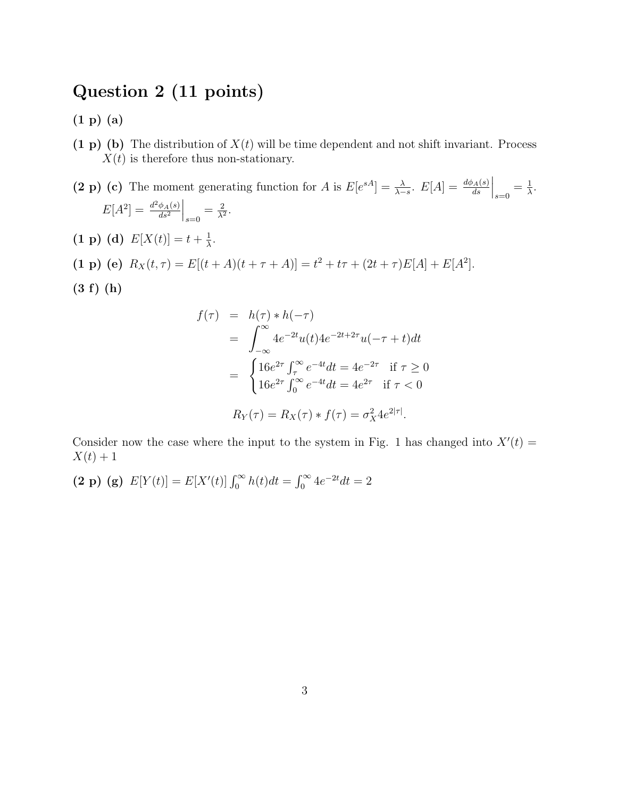### Question 2 (11 points)

(1 p) (a)

(1 p) (b) The distribution of  $X(t)$  will be time dependent and not shift invariant. Process  $X(t)$  is therefore thus non-stationary.

(2 p) (c) The moment generating function for A is  $E[e^{sA}] = \frac{\lambda}{\lambda-s}$ .  $E[A] = \frac{d\phi_A(s)}{ds}$  $\Big|_{s=0} = \frac{1}{\lambda}$  $\frac{1}{\lambda}$ .  $E[A^2] = \frac{d^2 \phi_A(s)}{ds^2}$  $ds^2$  $\Big|_{s=0} = \frac{2}{\lambda^2}$  $\frac{2}{\lambda^2}$ .

- $(1 \text{ p}) (d) E[X(t)] = t + \frac{1}{\lambda}$  $\frac{1}{\lambda}$ .
- (1 p) (e)  $R_X(t,\tau) = E[(t+A)(t+\tau+A)] = t^2 + t\tau + (2t+\tau)E[A] + E[A^2].$
- (3 f) (h)

$$
f(\tau) = h(\tau) * h(-\tau)
$$
  
=  $\int_{-\infty}^{\infty} 4e^{-2t}u(t)4e^{-2t+2\tau}u(-\tau + t)dt$   
=  $\begin{cases} 16e^{2\tau} \int_{\tau}^{\infty} e^{-4t}dt = 4e^{-2\tau} & \text{if } \tau \ge 0 \\ 16e^{2\tau} \int_{0}^{\infty} e^{-4t}dt = 4e^{2\tau} & \text{if } \tau < 0 \end{cases}$   
 $R_Y(\tau) = R_X(\tau) * f(\tau) = \sigma_X^2 4e^{2|\tau|}.$ 

Consider now the case where the input to the system in Fig. 1 has changed into  $X'(t) =$  $X(t) + 1$ 

(2 p) (g)  $E[Y(t)] = E[X'(t)] \int_0^\infty h(t)dt = \int_0^\infty 4e^{-2t}dt = 2$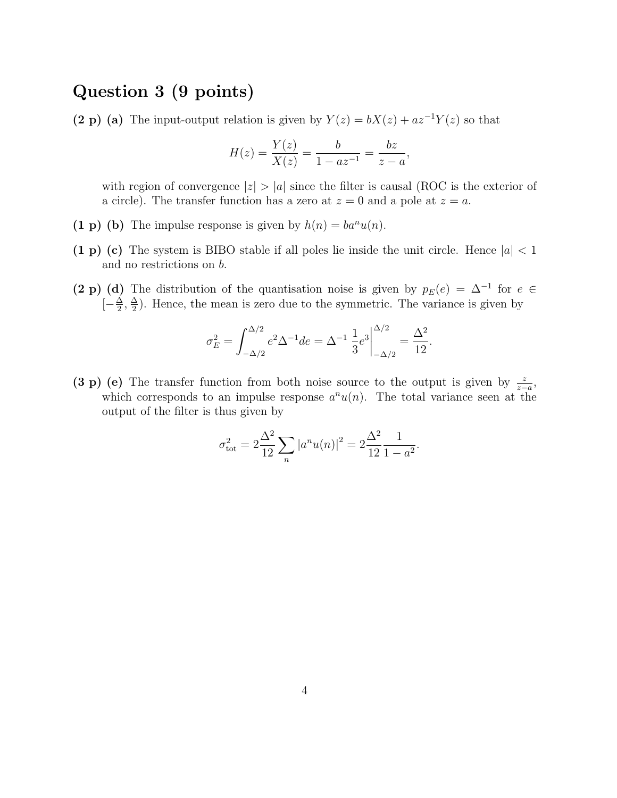#### Question 3 (9 points)

(2 p) (a) The input-output relation is given by  $Y(z) = bX(z) + az^{-1}Y(z)$  so that

$$
H(z) = \frac{Y(z)}{X(z)} = \frac{b}{1 - az^{-1}} = \frac{bz}{z - a},
$$

with region of convergence  $|z| > |a|$  since the filter is causal (ROC is the exterior of a circle). The transfer function has a zero at  $z = 0$  and a pole at  $z = a$ .

- (1 p) (b) The impulse response is given by  $h(n) = ba^n u(n)$ .
- (1 p) (c) The system is BIBO stable if all poles lie inside the unit circle. Hence  $|a| < 1$ and no restrictions on b.
- (2 p) (d) The distribution of the quantisation noise is given by  $p_E(e) = \Delta^{-1}$  for  $e \in$  $\left[-\frac{\Delta}{2}\right]$  $\frac{\Delta}{2}$ ,  $\frac{\Delta}{2}$  $\frac{\Delta}{2}$ ). Hence, the mean is zero due to the symmetric. The variance is given by

$$
\sigma_E^2 = \int_{-\Delta/2}^{\Delta/2} e^2 \Delta^{-1} de = \Delta^{-1} \frac{1}{3} e^3 \Big|_{-\Delta/2}^{\Delta/2} = \frac{\Delta^2}{12}.
$$

(3 p) (e) The transfer function from both noise source to the output is given by  $\frac{z}{z-a}$ , which corresponds to an impulse response  $a^n u(n)$ . The total variance seen at the output of the filter is thus given by

$$
\sigma_{\text{tot}}^2 = 2 \frac{\Delta^2}{12} \sum_n |a^n u(n)|^2 = 2 \frac{\Delta^2}{12} \frac{1}{1 - a^2}.
$$